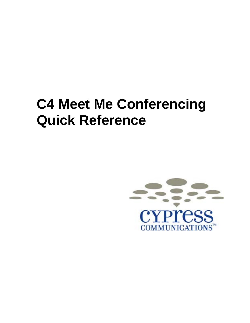## **C4 Meet Me Conferencing Quick Reference**

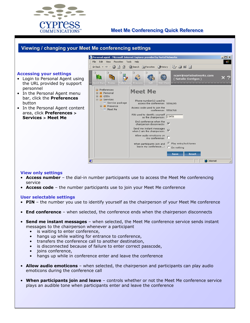

## **Meet Me Conferencing Quick Reference**

| Viewing / changing your Meet Me conferencing settings<br><b>Accessing your settings</b><br>Login to Personal Agent using<br>the URL provided by support<br>personnel<br>• In the Personal Agent menu<br>bar, click the Preferences<br>button<br>In the Personal Agent content<br>area, click Preferences ><br><b>Services &gt; Meet Me</b> | Personal agent - Microsoft Internet Explorer provided by Nor <u>tel Networks</u><br>$\Box$ o $\times$<br>File Edit View Favorites Tools Help<br>$\leftarrow$ Back ▼ → ∞ ◎ ⑦ ۞   ◎Search  Favorites ③History<br>B-915<br>$\circ$<br>$\circ$<br>$\circ$<br>∋<br>R<br>ncorr@nortelnetworks.com<br>(Natalie Corrigan)<br>Quick Start<br>Routes<br>Preferenck<br>Directory<br><b>Preferences</b><br><b>Meet Me</b><br><b>F</b> Personal<br>$\overline{+}$ $\overline{=}$ i200x<br>F Services<br>Phone number(s) used to<br>├─ Service package<br>access the conference: 5556245<br>E- Presence<br>Access code used to join the<br>Meet Me<br>conference: 5556768<br>PIN used to identify yourself<br>as the chairperson: 23456<br>End conference when the<br>chairperson disconnects: V<br>Send me instant messages<br>when I am the chairperson: $\nabla$<br>Allow audio emoticons on<br>$my$ conference: $\Box$<br>Play entry/exit tones<br>When participants join and<br>leave my conference:<br>O<br>Do nothing |
|--------------------------------------------------------------------------------------------------------------------------------------------------------------------------------------------------------------------------------------------------------------------------------------------------------------------------------------------|----------------------------------------------------------------------------------------------------------------------------------------------------------------------------------------------------------------------------------------------------------------------------------------------------------------------------------------------------------------------------------------------------------------------------------------------------------------------------------------------------------------------------------------------------------------------------------------------------------------------------------------------------------------------------------------------------------------------------------------------------------------------------------------------------------------------------------------------------------------------------------------------------------------------------------------------------------------------------------------------------------------|
| <b>View only settings</b><br>service                                                                                                                                                                                                                                                                                                       | Save<br>Reset<br>æ1<br><b>O</b> Internet<br>• Access number - the dial-in number participants use to access the Meet Me conferencing<br><b>Access code</b> – the number participants use to join your Meet Me conference                                                                                                                                                                                                                                                                                                                                                                                                                                                                                                                                                                                                                                                                                                                                                                                       |

## **User selectable settings**

- **PIN** the number you use to identify yourself as the chairperson of your Meet Me conference
- **End conference** when selected, the conference ends when the chairperson disconnects
- **Send me instant messages** when selected, the Meet Me conference service sends instant messages to the chairperson whenever a participant
	- is waiting to enter conference,
	- hangs up while waiting for entrance to conference,
	- transfers the conference call to another destination,
	- is disconnected because of failure to enter correct passcode,
	- joins conference,
	- hangs up while in conference enter and leave the conference
- **Allow audio emoticons** when selected, the chairperson and participants can play audio emoticons during the conference call
- When participants join and leave controls whether or not the Meet Me conference service plays an audible tone when participants enter and leave the conference